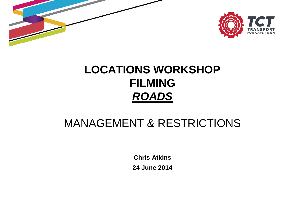



#### **LOCATIONS WORKSHOPFILMINGROADS**

#### MANAGEMENT & RESTRICTIONS

**Chris Atkins24 June 2014**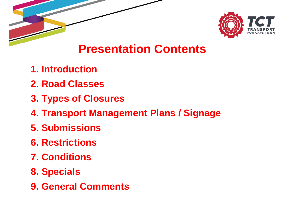

#### **Presentation Contents**

- **1. Introduction**
- **2. Road Classes**
- **3. Types of Closures**
- **4. Transport Management Plans / Signage**
- **5. Submissions**
- **6. Restrictions**
- **7. Conditions**
- **8. Specials**
- **9. General Comments**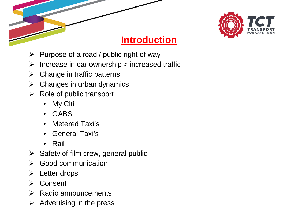

#### **Introduction**

- > Purpose of a road / public right of way
- > Increase in car ownership > increased traffic
- > Change in traffic patterns
- > Changes in urban dynamics
- **EXA Role of public transport** 
	- •My Citi
	- GABS
	- Metered Taxi's•
	- •General Taxi's
	- •Rail
- $\triangleright$  Safety of film crew, general public
- $\blacktriangleright$ Good communication
- > Letter drops
- **≻** Consent
- **EXA Radio announcements**
- $\triangleright$  Advertising in the press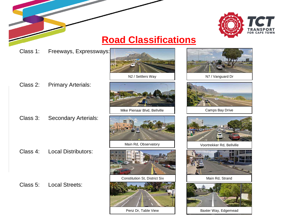

#### **Road Classifications**

Class 1: Freeways, Expressways:







N7 / Vanguard Dr

Class 2: Primary Arterials:

- 
- Class 3: Secondary Arterials:
	-

Class 4: Local Distributors:

Class 5: Local Streets:



Mike Pienaar Blvd, Bellville

Main Rd, Observatory



Constitution St, District Six



Penz Dr, Table View



Voortrekker Rd, Bellville



Main Rd, Strand



Baxter Way, Edgemead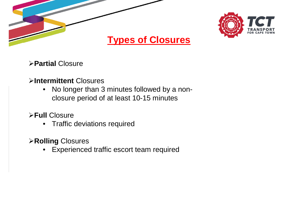



#### **Types of Closures**

**Partial** Closure

#### **Intermittent** Closures

 No longer than 3 minutes followed by a non- $\bullet$ closure period of at least 10-15 minutes

#### **Full** Closure

• Traffic deviations required

#### **Rolling** Closures

•Experienced traffic escort team required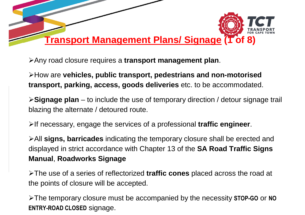

Any road closure requires a **transport management plan**.

How are **vehicles, public transport, pedestrians and non-motorised transport, parking, access, goods deliveries** etc. to be accommodated.

**Signage plan** – to include the use of temporary direction / detour signage trail blazing the alternate / detoured route.

If necessary, engage the services of a professional **traffic engineer**.

All **signs, barricades** indicating the temporary closure shall be erected and displayed in strict accordance with Chapter 13 of the **SA Road Traffic Signs Manual**, **Roadworks Signage**

The use of a series of reflectorized **traffic cones** placed across the road at the points of closure will be accepted.

The temporary closure must be accompanied by the necessity **STOP-GO** or **NO ENTRY-ROAD CLOSED** signage.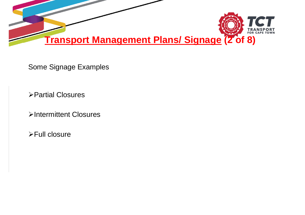

Some Signage Examples

Partial Closures

Intermittent Closures

Full closure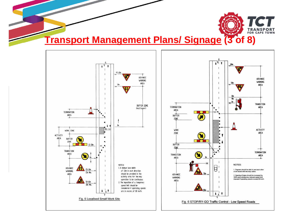

**Transport Management Plans/ Signage (3 of 8)**



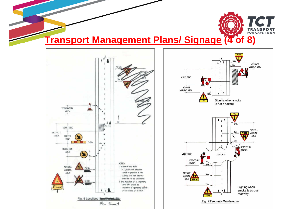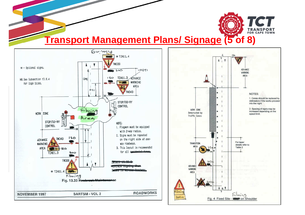

#### **Transport Management Plans/ Signage (5 of 8)**



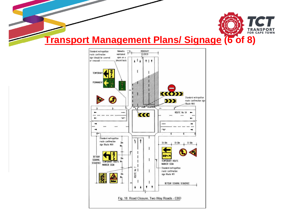

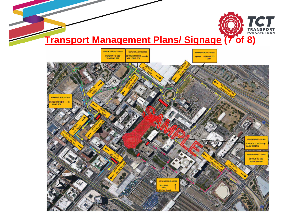

#### **Transport Management Plans/ Signage (7 of 8)**

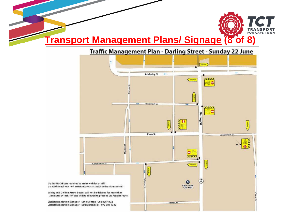

#### **Transport Management Plans/ Signage (8 of 8)**

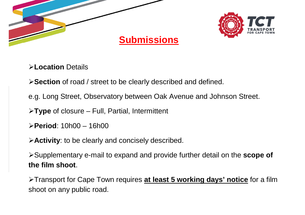



**Location** Details

**Section** of road / street to be clearly described and defined.

e.g. Long Street, Observatory between Oak Avenue and Johnson Street.

**Type** of closure – Full, Partial, Intermittent

**Period**: 10h00 – 16h00

**Activity**: to be clearly and concisely described.

Supplementary e-mail to expand and provide further detail on the **scope of the film shoot**.

Transport for Cape Town requires **at least 5 working days' notice** for a film shoot on any public road.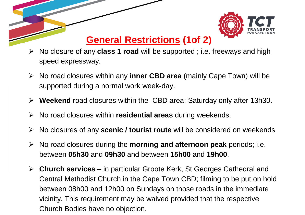

### **General Restrictions (1of 2)**

- No closure of any **class 1 road** will be supported ; i.e. freeways and high speed expressway.
- No road closures within any **inner CBD area** (mainly Cape Town) will be supported during a normal work week-day.
- **Weekend** road closures within the CBD area; Saturday only after 13h30.
- No road closures within **residential areas** during weekends.
- No closures of any **scenic / tourist route** will be considered on weekends
- No road closures during the **morning and afternoon peak** periods; i.e. between **05h30** and **09h30** and between **15h00** and **19h00**.
- **Church services** in particular Groote Kerk, St Georges Cathedral and Central Methodist Church in the Cape Town CBD; filming to be put on hold between 08h00 and 12h00 on Sundays on those roads in the immediate vicinity. This requirement may be waived provided that the respective Church Bodies have no objection.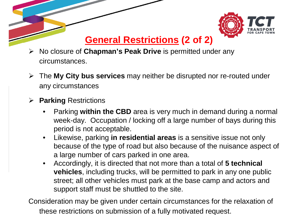

### **General Restrictions (2 of 2)**

- No closure of **Chapman's Peak Drive** is permitted under any circumstances.
- The **My City bus services** may neither be disrupted nor re-routed under any circumstances
- **Parking** Restrictions
	- $\bullet$ Parking **within the CBD** area is very much in demand during a normal week-day. Occupation / locking off a large number of bays during this period is not acceptable.
	- $\bullet$  Likewise, parking **in residential areas** is a sensitive issue not only because of the type of road but also because of the nuisance aspect of a large number of cars parked in one area.
	- $\bullet$  Accordingly, it is directed that not more than a total of **5 technical vehicles**, including trucks, will be permitted to park in any one public street; all other vehicles must park at the base camp and actors and support staff must be shuttled to the site.

Consideration may be given under certain circumstances for the relaxation of these restrictions on submission of a fully motivated request.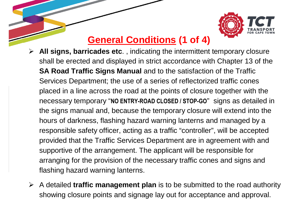

## **General Conditions (1 of 4)**

- **All signs, barricades etc**. , indicating the intermittent temporary closure shall be erected and displayed in strict accordance with Chapter 13 of the **SA Road Traffic Signs Manual** and to the satisfaction of the Traffic Services Department; the use of a series of reflectorized traffic cones placed in a line across the road at the points of closure together with the necessary temporary "**NO ENTRY-ROAD CLOSED / STOP-GO**" signs as detailed in the signs manual and, because the temporary closure will extend into the hours of darkness, flashing hazard warning lanterns and managed by a responsible safety officer, acting as a traffic "controller", will be accepted provided that the Traffic Services Department are in agreement with and supportive of the arrangement. The applicant will be responsible for arranging for the provision of the necessary traffic cones and signs and flashing hazard warning lanterns.
- A detailed **traffic management plan** is to be submitted to the road authority showing closure points and signage lay out for acceptance and approval.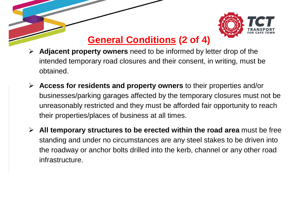

# **General Conditions (2 of 4)**

- **Adjacent property owners** need to be informed by letter drop of the intended temporary road closures and their consent, in writing, must be obtained.
- **Access for residents and property owners** to their properties and/or businesses/parking garages affected by the temporary closures must not be unreasonably restricted and they must be afforded fair opportunity to reach their properties/places of business at all times.
- **All temporary structures to be erected within the road area** must be free standing and under no circumstances are any steel stakes to be driven into the roadway or anchor bolts drilled into the kerb, channel or any other road infrastructure.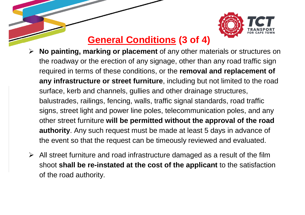

# **General Conditions (3 of 4)**

- **No painting, marking or placement** of any other materials or structures on the roadway or the erection of any signage, other than any road traffic sign required in terms of these conditions, or the **removal and replacement of any infrastructure or street furniture**, including but not limited to the road surface, kerb and channels, gullies and other drainage structures, balustrades, railings, fencing, walls, traffic signal standards, road traffic signs, street light and power line poles, telecommunication poles, and any other street furniture **will be permitted without the approval of the road authority**. Any such request must be made at least 5 days in advance of the event so that the request can be timeously reviewed and evaluated.
- $\triangleright$  All street furniture and road infrastructure damaged as a result of the film shoot **shall be re-instated at the cost of the applicant** to the satisfaction of the road authority.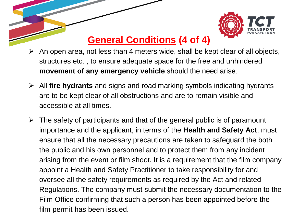

# **General Conditions (4 of 4)**

- An open area, not less than 4 meters wide, shall be kept clear of all objects, structures etc. , to ensure adequate space for the free and unhindered **movement of any emergency vehicle** should the need arise.
- All **fire hydrants** and signs and road marking symbols indicating hydrants are to be kept clear of all obstructions and are to remain visible and accessible at all times.
- $\triangleright$  The safety of participants and that of the general public is of paramount importance and the applicant, in terms of the **Health and Safety Act**, must ensure that all the necessary precautions are taken to safeguard the both the public and his own personnel and to protect them from any incident arising from the event or film shoot. It is a requirement that the film company appoint a Health and Safety Practitioner to take responsibility for and oversee all the safety requirements as required by the Act and related Regulations. The company must submit the necessary documentation to the Film Office confirming that such a person has been appointed before the film permit has been issued.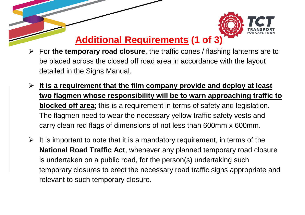

## **Additional Requirements (1 of 3)**

- For **the temporary road closure**, the traffic cones / flashing lanterns are to be placed across the closed off road area in accordance with the layout detailed in the Signs Manual.
- **It is a requirement that the film company provide and deploy at least two flagmen whose responsibility will be to warn approaching traffic to blocked off area**; this is a requirement in terms of safety and legislation. The flagmen need to wear the necessary yellow traffic safety vests and carry clean red flags of dimensions of not less than 600mm x 600mm.
- It is important to note that it is a mandatory requirement, in terms of the  $\geq$ **National Road Traffic Act**, whenever any planned temporary road closure is undertaken on a public road, for the person(s) undertaking such temporary closures to erect the necessary road traffic signs appropriate and relevant to such temporary closure.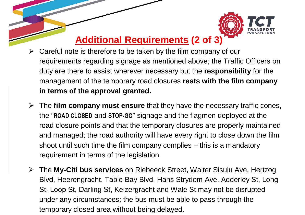

## **Additional Requirements (2 of 3)**

- $\triangleright$  Careful note is therefore to be taken by the film company of our requirements regarding signage as mentioned above; the Traffic Officers on duty are there to assist wherever necessary but the **responsibility** for the management of the temporary road closures **rests with the film company in terms of the approval granted.**
- The **film company must ensure** that they have the necessary traffic cones, the "**ROAD CLOSED** and **STOP-GO**" signage and the flagmen deployed at the road closure points and that the temporary closures are properly maintained and managed; the road authority will have every right to close down the film shoot until such time the film company complies – this is a mandatory requirement in terms of the legislation.
- The **My-Citi bus services** on Riebeeck Street, Walter Sisulu Ave, Hertzog Blvd, Heerengracht, Table Bay Blvd, Hans Strydom Ave, Adderley St, Long St, Loop St, Darling St, Keizergracht and Wale St may not be disrupted under any circumstances; the bus must be able to pass through the temporary closed area without being delayed.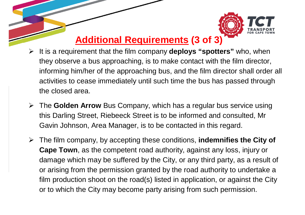

### **Additional Requirements (3 of 3)**

- It is a requirement that the film company **deploys "spotters"** who, when they observe a bus approaching, is to make contact with the film director, informing him/her of the approaching bus, and the film director shall order all activities to cease immediately until such time the bus has passed through the closed area.
- The **Golden Arrow** Bus Company, which has a regular bus service using this Darling Street, Riebeeck Street is to be informed and consulted, Mr Gavin Johnson, Area Manager, is to be contacted in this regard.
- The film company, by accepting these conditions, **indemnifies the City of Cape Town**, as the competent road authority, against any loss, injury or damage which may be suffered by the City, or any third party, as a result of or arising from the permission granted by the road authority to undertake a film production shoot on the road(s) listed in application, or against the City or to which the City may become party arising from such permission.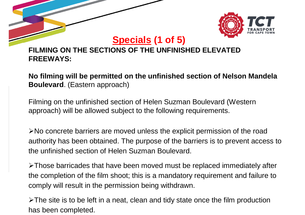

**Specials (1 of 5)** 

#### **FILMING ON THE SECTIONS OF THE UNFINISHED ELEVATED FREEWAYS:**

**No filming will be permitted on the unfinished section of Nelson Mandela Boulevard**. (Eastern approach)

Filming on the unfinished section of Helen Suzman Boulevard (Western approach) will be allowed subject to the following requirements.

 $\triangleright$  No concrete barriers are moved unless the explicit permission of the road authority has been obtained. The purpose of the barriers is to prevent access to the unfinished section of Helen Suzman Boulevard.

Those barricades that have been moved must be replaced immediately after the completion of the film shoot; this is a mandatory requirement and failure to comply will result in the permission being withdrawn.

 $\triangleright$ The site is to be left in a neat, clean and tidy state once the film production has been completed.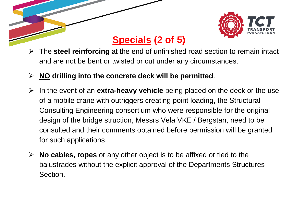

# **Specials (2 of 5)**

- $\blacktriangleright$  The **steel reinforcing** at the end of unfinished road section to remain intact and are not be bent or twisted or cut under any circumstances.
- **NO drilling into the concrete deck will be permitted**.
- In the event of an **extra-heavy vehicle** being placed on the deck or the use of a mobile crane with outriggers creating point loading, the Structural Consulting Engineering consortium who were responsible for the original design of the bridge struction, Messrs Vela VKE / Bergstan, need to be consulted and their comments obtained before permission will be granted for such applications.
- **No cables, ropes** or any other object is to be affixed or tied to the balustrades without the explicit approval of the Departments Structures Section.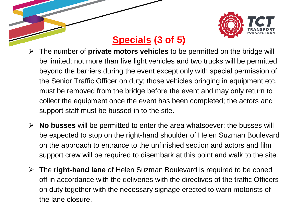

# **Specials (3 of 5)**

- $\blacktriangleright$  The number of **private motors vehicles** to be permitted on the bridge will be limited; not more than five light vehicles and two trucks will be permitted beyond the barriers during the event except only with special permission of the Senior Traffic Officer on duty; those vehicles bringing in equipment etc. must be removed from the bridge before the event and may only return to collect the equipment once the event has been completed; the actors and support staff must be bussed in to the site.
- **No busses** will be permitted to enter the area whatsoever; the busses will be expected to stop on the right-hand shoulder of Helen Suzman Boulevard on the approach to entrance to the unfinished section and actors and film support crew will be required to disembark at this point and walk to the site.
- The **right-hand lane** of Helen Suzman Boulevard is required to be coned off in accordance with the deliveries with the directives of the traffic Officers on duty together with the necessary signage erected to warn motorists of the lane closure.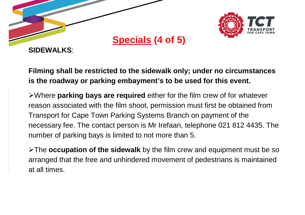



**SIDEWALKS**:

**Filming shall be restricted to the sidewalk only; under no circumstances is the roadway or parking embayment's to be used for this event.**

Where **parking bays are required** either for the film crew of for whatever reason associated with the film shoot, permission must first be obtained from Transport for Cape Town Parking Systems Branch on payment of the necessary fee. The contact person is Mr Irefaan, telephone 021 812 4435. The number of parking bays is limited to not more than 5.

The **occupation of the sidewalk** by the film crew and equipment must be so arranged that the free and unhindered movement of pedestrians is maintained at all times.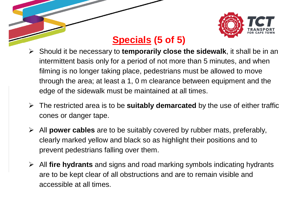

# **Specials (5 of 5)**

- Should it be necessary to **temporarily close the sidewalk**, it shall be in an intermittent basis only for a period of not more than 5 minutes, and when filming is no longer taking place, pedestrians must be allowed to move through the area; at least a 1, 0 m clearance between equipment and the edge of the sidewalk must be maintained at all times.
- The restricted area is to be **suitably demarcated** by the use of either traffic cones or danger tape.
- All **power cables** are to be suitably covered by rubber mats, preferably, clearly marked yellow and black so as highlight their positions and to prevent pedestrians falling over them.
- All **fire hydrants** and signs and road marking symbols indicating hydrants are to be kept clear of all obstructions and are to remain visible and accessible at all times.